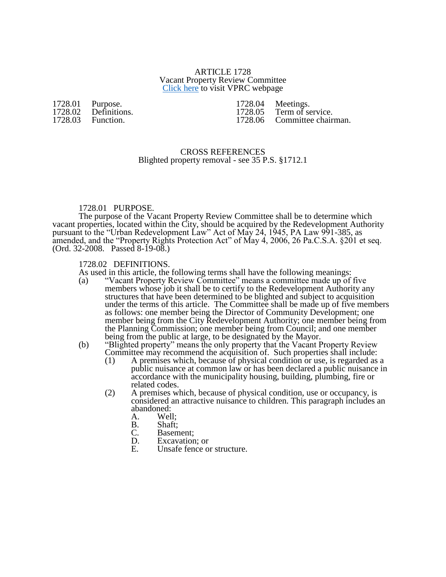#### ARTICLE 1728 Vacant Property Review Committee [Click here](http://www.yorkcity.org/government/authorities-boards-and-commissions/vacant-property-review-committee/) to visit VPRC webpage

# 1728.01 Purpose.<br>1728.02 Definitio 1728.02 Definitions.<br>1728.03 Function.

Function.

1728.04 Meetings.<br>1728.05 Term of se 1728.05 Term of service.<br>1728.06 Committee chair Committee chairman.

## CROSS REFERENCES Blighted property removal - see 35 P.S. §1712.1

# 1728.01 PURPOSE.

The purpose of the Vacant Property Review Committee shall be to determine which vacant properties, located within the City, should be acquired by the Redevelopment Authority pursuant to the "Urban Redevelopment Law" Act of May 24, 1945, PA Law 991-385, as amended, and the "Property Rights Protection Act" of May 4, 2006, 26 Pa.C.S.A. §201 et seq. (Ord. 32-2008. Passed 8-19-08.)

# 1728.02 DEFINITIONS.

As used in this article, the following terms shall have the following meanings:<br>(a) "Vacant Property Review Committee" means a committee made up of

(a) "Vacant Property Review Committee" means a committee made up of five members whose job it shall be to certify to the Redevelopment Authority any structures that have been determined to be blighted and subject to acquisition under the terms of this article. The Committee shall be made up of five members as follows: one member being the Director of Community Development; one member being from the City Redevelopment Authority; one member being from the Planning Commission; one member being from Council; and one member being from the public at large, to be designated by the Mayor.

#### (b) "Blighted property" means the only property that the Vacant Property Review Committee may recommend the acquisition of. Such properties shall include:

- (1) A premises which, because of physical condition or use, is regarded as a public nuisance at common law or has been declared a public nuisance in accordance with the municipality housing, building, plumbing, fire or related codes.
- (2) A premises which, because of physical condition, use or occupancy, is considered an attractive nuisance to children. This paragraph includes an abandoned:<br>A. Wel.
	- Well;
	- B. Shaft;<br>C. Basem
	- C. Basement;<br>D. Excavation
	- D. Excavation; or<br>E. Unsafe fence of
	- Unsafe fence or structure.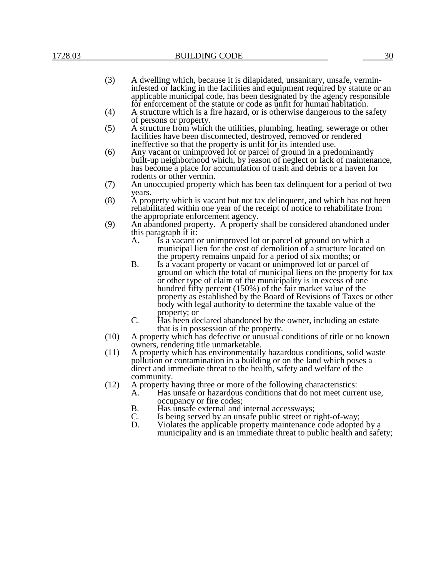- (3) A dwelling which, because it is dilapidated, unsanitary, unsafe, vermininfested or lacking in the facilities and equipment required by statute or an applicable municipal code, has been designated by the agency responsible for enforcement of the statute or code as unfit for human habitation.
- (4) A structure which is a fire hazard, or is otherwise dangerous to the safety of persons or property.
- (5) A structure from which the utilities, plumbing, heating, sewerage or other facilities have been disconnected, destroyed, removed or rendered ineffective so that the property is unfit for its intended use.
- (6) Any vacant or unimproved lot or parcel of ground in a predominantly built-up neighborhood which, by reason of neglect or lack of maintenance, has become a place for accumulation of trash and debris or a haven for rodents or other vermin.
- (7) An unoccupied property which has been tax delinquent for a period of two years.
- (8) A property which is vacant but not tax delinquent, and which has not been rehabilitated within one year of the receipt of notice to rehabilitate from the appropriate enforcement agency.
- (9) An abandoned property. A property shall be considered abandoned under this paragraph if it:
	- A. Is a vacant or unimproved lot or parcel of ground on which a municipal lien for the cost of demolition of a structure located on the property remains unpaid for a period of six months; or
	- B. Is a vacant property or vacant or unimproved lot or parcel of ground on which the total of municipal liens on the property for tax or other type of claim of the municipality is in excess of one hundred fifty percent (150%) of the fair market value of the property as established by the Board of Revisions of Taxes or other body with legal authority to determine the taxable value of the property; or
	- C. Has been declared abandoned by the owner, including an estate that is in possession of the property.
- (10) A property which has defective or unusual conditions of title or no known owners, rendering title unmarketable.
- (11) A property which has environmentally hazardous conditions, solid waste pollution or contamination in a building or on the land which poses a direct and immediate threat to the health, safety and welfare of the community.
- (12) A property having three or more of the following characteristics:<br>A. Has unsafe or hazardous conditions that do not meet curre A. Has unsafe or hazardous conditions that do not meet current use,
	- occupancy or fire codes;
	- B. Has unsafe external and internal accessways;<br>C. Is being served by an unsafe public street or r Is being served by an unsafe public street or right-of-way;
	- D. Violates the applicable property maintenance code adopted by a municipality and is an immediate threat to public health and safety;